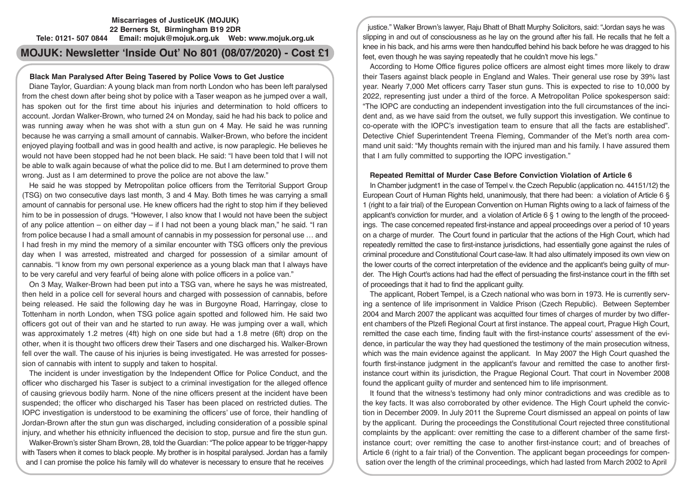## **Miscarriages of JusticeUK (MOJUK) 22 Berners St, Birmingham B19 2DR Tele: 0121- 507 0844 Email: mojuk@mojuk.org.uk Web: www.mojuk.org.uk**

# **MOJUK: Newsletter 'Inside Out' No 801 (08/07/2020) - Cost £1**

## **Black Man Paralysed After Being Tasered by Police Vows to Get Justice**

Diane Taylor, Guardian: A young black man from north London who has been left paralysed from the chest down after being shot by police with a Taser weapon as he jumped over a wall, has spoken out for the first time about his injuries and determination to hold officers to account. Jordan Walker-Brown, who turned 24 on Monday, said he had his back to police and was running away when he was shot with a stun gun on 4 May. He said he was running because he was carrying a small amount of cannabis. Walker-Brown, who before the incident enjoyed playing football and was in good health and active, is now paraplegic. He believes he would not have been stopped had he not been black. He said: "I have been told that I will not be able to walk again because of what the police did to me. But I am determined to prove them wrong. Just as I am determined to prove the police are not above the law."

He said he was stopped by Metropolitan police officers from the Territorial Support Group (TSG) on two consecutive days last month, 3 and 4 May. Both times he was carrying a small amount of cannabis for personal use. He knew officers had the right to stop him if they believed him to be in possession of drugs. "However, I also know that I would not have been the subject of any police attention – on either day – if I had not been a young black man," he said. "I ran from police because I had a small amount of cannabis in my possession for personal use … and I had fresh in my mind the memory of a similar encounter with TSG officers only the previous day when I was arrested, mistreated and charged for possession of a similar amount of cannabis. "I know from my own personal experience as a young black man that I always have to be very careful and very fearful of being alone with police officers in a police van."

On 3 May, Walker-Brown had been put into a TSG van, where he says he was mistreated, then held in a police cell for several hours and charged with possession of cannabis, before being released. He said the following day he was in Burgoyne Road, Harringay, close to Tottenham in north London, when TSG police again spotted and followed him. He said two officers got out of their van and he started to run away. He was jumping over a wall, which was approximately 1.2 metres (4ft) high on one side but had a 1.8 metre (6ft) drop on the other, when it is thought two officers drew their Tasers and one discharged his. Walker-Brown fell over the wall. The cause of his injuries is being investigated. He was arrested for possession of cannabis with intent to supply and taken to hospital.

The incident is under investigation by the Independent Office for Police Conduct, and the officer who discharged his Taser is subject to a criminal investigation for the alleged offence of causing grievous bodily harm. None of the nine officers present at the incident have been suspended; the officer who discharged his Taser has been placed on restricted duties. The IOPC investigation is understood to be examining the officers' use of force, their handling of Jordan-Brown after the stun gun was discharged, including consideration of a possible spinal injury, and whether his ethnicity influenced the decision to stop, pursue and fire the stun gun.

Walker-Brown's sister Sharn Brown, 28, told the Guardian: "The police appear to be trigger-happy with Tasers when it comes to black people. My brother is in hospital paralysed. Jordan has a family and I can promise the police his family will do whatever is necessary to ensure that he receives

justice." Walker Brown's lawyer, Raju Bhatt of Bhatt Murphy Solicitors, said: "Jordan says he was slipping in and out of consciousness as he lay on the ground after his fall. He recalls that he felt a knee in his back, and his arms were then handcuffed behind his back before he was dragged to his feet, even though he was saying repeatedly that he couldn't move his legs."

According to Home Office figures police officers are almost eight times more likely to draw their Tasers against black people in England and Wales. Their general use rose by 39% last year. Nearly 7,000 Met officers carry Taser stun guns. This is expected to rise to 10,000 by 2022, representing just under a third of the force. A Metropolitan Police spokesperson said: "The IOPC are conducting an independent investigation into the full circumstances of the incident and, as we have said from the outset, we fully support this investigation. We continue to co-operate with the IOPC's investigation team to ensure that all the facts are established". Detective Chief Superintendent Treena Fleming, Commander of the Met's north area command unit said: "My thoughts remain with the injured man and his family. I have assured them that I am fully committed to supporting the IOPC investigation."

#### **Repeated Remittal of Murder Case Before Conviction Violation of Article 6**

In Chamber judgment1 in the case of Tempel v. the Czech Republic (application no. 44151/12) the European Court of Human Rights held, unanimously, that there had been: a violation of Article 6 § 1 (right to a fair trial) of the European Convention on Human Rights owing to a lack of fairness of the applicant's conviction for murder, and a violation of Article 6 § 1 owing to the length of the proceedings. The case concerned repeated first-instance and appeal proceedings over a period of 10 years on a charge of murder. The Court found in particular that the actions of the High Court, which had repeatedly remitted the case to first-instance jurisdictions, had essentially gone against the rules of criminal procedure and Constitutional Court case-law. It had also ultimately imposed its own view on the lower courts of the correct interpretation of the evidence and the applicant's being guilty of murder. The High Court's actions had had the effect of persuading the first-instance court in the fifth set of proceedings that it had to find the applicant guilty.

The applicant, Robert Tempel, is a Czech national who was born in 1973. He is currently serving a sentence of life imprisonment in Valdice Prison (Czech Republic). Between September 2004 and March 2007 the applicant was acquitted four times of charges of murder by two different chambers of the Plzefi Regional Court at first instance. The appeal court, Prague High Court, remitted the case each time, finding fault with the first-instance courts' assessment of the evidence, in particular the way they had questioned the testimony of the main prosecution witness, which was the main evidence against the applicant. In May 2007 the High Court quashed the fourth first-instance judgment in the applicant's favour and remitted the case to another firstinstance court within its jurisdiction, the Prague Regional Court. That court in November 2008 found the applicant guilty of murder and sentenced him to life imprisonment.

It found that the witness's testimony had only minor contradictions and was credible as to the key facts. It was also corroborated by other evidence. The High Court upheld the conviction in December 2009. In July 2011 the Supreme Court dismissed an appeal on points of law by the applicant. During the proceedings the Constitutional Court rejected three constitutional complaints by the applicant: over remitting the case to a different chamber of the same firstinstance court; over remitting the case to another first-instance court; and of breaches of Article 6 (right to a fair trial) of the Convention. The applicant began proceedings for compensation over the length of the criminal proceedings, which had lasted from March 2002 to April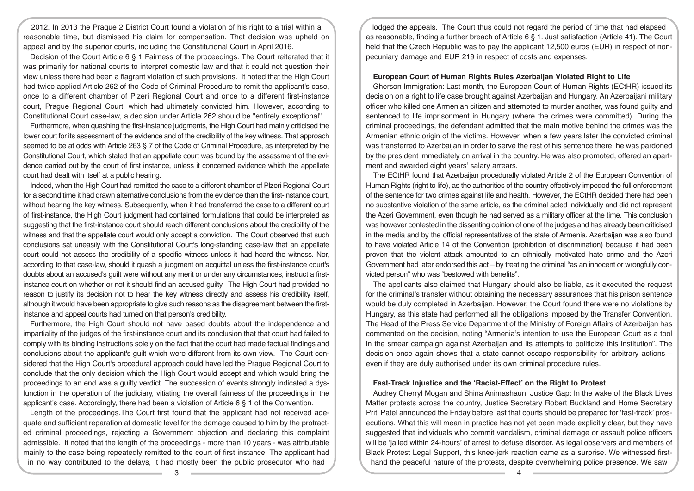2012. In 2013 the Prague 2 District Court found a violation of his right to a trial within a reasonable time, but dismissed his claim for compensation. That decision was upheld on appeal and by the superior courts, including the Constitutional Court in April 2016.

Decision of the Court Article 6 § 1 Fairness of the proceedings. The Court reiterated that it was primarily for national courts to interpret domestic law and that it could not question their view unless there had been a flagrant violation of such provisions. It noted that the High Court had twice applied Article 262 of the Code of Criminal Procedure to remit the applicant's case, once to a different chamber of Plzeri Regional Court and once to a different first-instance court, Prague Regional Court, which had ultimately convicted him. However, according to Constitutional Court case-law, a decision under Article 262 should be "entirely exceptional".

Furthermore, when quashing the first-instance judgments, the High Court had mainly criticised the lower court for its assessment of the evidence and of the credibility of the key witness. That approach seemed to be at odds with Article 263 § 7 of the Code of Criminal Procedure, as interpreted by the Constitutional Court, which stated that an appellate court was bound by the assessment of the evidence carried out by the court of first instance, unless it concerned evidence which the appellate court had dealt with itself at a public hearing.

Indeed, when the High Court had remitted the case to a different chamber of Plzeri Regional Court for a second time it had drawn alternative conclusions from the evidence than the first-instance court, without hearing the key witness. Subsequently, when it had transferred the case to a different court of first-instance, the High Court judgment had contained formulations that could be interpreted as suggesting that the first-instance court should reach different conclusions about the credibility of the witness and that the appellate court would only accept a conviction. The Court observed that such conclusions sat uneasily with the Constitutional Court's long-standing case-law that an appellate court could not assess the credibility of a specific witness unless it had heard the witness. Nor, according to that case-law, should it quash a judgment on acquittal unless the first-instance court's doubts about an accused's guilt were without any merit or under any circumstances, instruct a firstinstance court on whether or not it should find an accused guilty. The High Court had provided no reason to justify its decision not to hear the key witness directly and assess his credibility itself, although it would have been appropriate to give such reasons as the disagreement between the firstinstance and appeal courts had turned on that person's credibility.

Furthermore, the High Court should not have based doubts about the independence and impartiality of the judges of the first-instance court and its conclusion that that court had failed to comply with its binding instructions solely on the fact that the court had made factual findings and conclusions about the applicant's guilt which were different from its own view. The Court considered that the High Court's procedural approach could have led the Prague Regional Court to conclude that the only decision which the High Court would accept and which would bring the proceedings to an end was a guilty verdict. The succession of events strongly indicated a dysfunction in the operation of the judiciary, vitiating the overall fairness of the proceedings in the applicant's case. Accordingly, there had been a violation of Article 6 § 1 of the Convention.

Length of the proceedings.The Court first found that the applicant had not received adequate and sufficient reparation at domestic level for the damage caused to him by the protracted criminal proceedings, rejecting a Government objection and declaring this complaint admissible. It noted that the length of the proceedings - more than 10 years - was attributable mainly to the case being repeatedly remitted to the court of first instance. The applicant had in no way contributed to the delays, it had mostly been the public prosecutor who had

lodged the appeals. The Court thus could not regard the period of time that had elapsed as reasonable, finding a further breach of Article 6 § 1. Just satisfaction (Article 41). The Court held that the Czech Republic was to pay the applicant 12,500 euros (EUR) in respect of nonpecuniary damage and EUR 219 in respect of costs and expenses.

## **European Court of Human Rights Rules Azerbaijan Violated Right to Life**

Gherson Immigration: Last month, the European Court of Human Rights (ECtHR) issued its decision on a right to life case brought against Azerbaijan and Hungary. An Azerbaijani military officer who killed one Armenian citizen and attempted to murder another, was found guilty and sentenced to life imprisonment in Hungary (where the crimes were committed). During the criminal proceedings, the defendant admitted that the main motive behind the crimes was the Armenian ethnic origin of the victims. However, when a few years later the convicted criminal was transferred to Azerbaijan in order to serve the rest of his sentence there, he was pardoned by the president immediately on arrival in the country. He was also promoted, offered an apartment and awarded eight years' salary arrears.

The ECtHR found that Azerbaijan procedurally violated Article 2 of the European Convention of Human Rights (right to life), as the authorities of the country effectively impeded the full enforcement of the sentence for two crimes against life and health. However, the ECtHR decided there had been no substantive violation of the same article, as the criminal acted individually and did not represent the Azeri Government, even though he had served as a military officer at the time. This conclusion was however contested in the dissenting opinion of one of the judges and has already been criticised in the media and by the official representatives of the state of Armenia. Azerbaijan was also found to have violated Article 14 of the Convention (prohibition of discrimination) because it had been proven that the violent attack amounted to an ethnically motivated hate crime and the Azeri Government had later endorsed this act – by treating the criminal "as an innocent or wrongfully convicted person" who was "bestowed with benefits".

The applicants also claimed that Hungary should also be liable, as it executed the request for the criminal's transfer without obtaining the necessary assurances that his prison sentence would be duly completed in Azerbaijan. However, the Court found there were no violations by Hungary, as this state had performed all the obligations imposed by the Transfer Convention. The Head of the Press Service Department of the Ministry of Foreign Affairs of Azerbaijan has commented on the decision, noting "Armenia's intention to use the European Court as a tool in the smear campaign against Azerbaijan and its attempts to politicize this institution". The decision once again shows that a state cannot escape responsibility for arbitrary actions – even if they are duly authorised under its own criminal procedure rules.

## **Fast-Track Injustice and the 'Racist-Effect' on the Right to Protest**

Audrey Cherryl Mogan and Shina Animashaun, Justice Gap: In the wake of the Black Lives Matter protests across the country, Justice Secretary Robert Buckland and Home Secretary Priti Patel announced the Friday before last that courts should be prepared for 'fast-track' prosecutions. What this will mean in practice has not yet been made explicitly clear, but they have suggested that individuals who commit vandalism, criminal damage or assault police officers will be 'jailed within 24-hours' of arrest to defuse disorder. As legal observers and members of Black Protest Legal Support, this knee-jerk reaction came as a surprise. We witnessed firsthand the peaceful nature of the protests, despite overwhelming police presence. We saw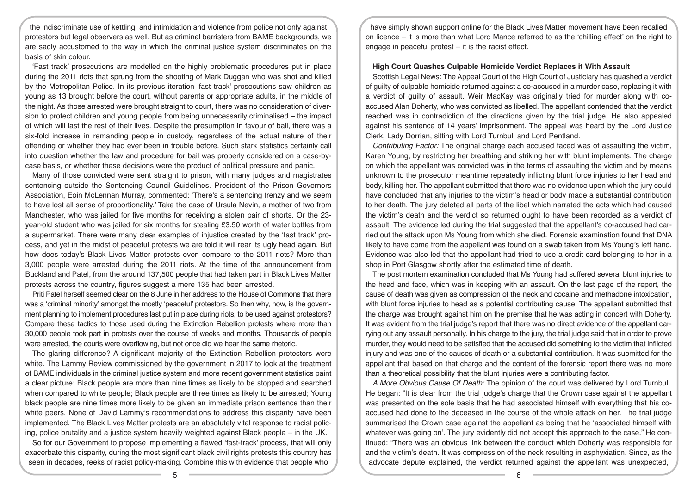the indiscriminate use of kettling, and intimidation and violence from police not only against protestors but legal observers as well. But as criminal barristers from BAME backgrounds, we are sadly accustomed to the way in which the criminal justice system discriminates on the basis of skin colour.

'Fast track' prosecutions are modelled on the highly problematic procedures put in place during the 2011 riots that sprung from the shooting of Mark Duggan who was shot and killed by the Metropolitan Police. In its previous iteration 'fast track' prosecutions saw children as young as 13 brought before the court, without parents or appropriate adults, in the middle of the night. As those arrested were brought straight to court, there was no consideration of diversion to protect children and young people from being unnecessarily criminalised – the impact of which will last the rest of their lives. Despite the presumption in favour of bail, there was a six-fold increase in remanding people in custody, regardless of the actual nature of their offending or whether they had ever been in trouble before. Such stark statistics certainly call into question whether the law and procedure for bail was properly considered on a case-bycase basis, or whether these decisions were the product of political pressure and panic.

Many of those convicted were sent straight to prison, with many judges and magistrates sentencing outside the Sentencing Council Guidelines. President of the Prison Governors Association, Eoin McLennan Murray, commented: 'There's a sentencing frenzy and we seem to have lost all sense of proportionality.' Take the case of Ursula Nevin, a mother of two from Manchester, who was jailed for five months for receiving a stolen pair of shorts. Or the 23 year-old student who was jailed for six months for stealing £3.50 worth of water bottles from a supermarket. There were many clear examples of injustice created by the 'fast track' process, and yet in the midst of peaceful protests we are told it will rear its ugly head again. But how does today's Black Lives Matter protests even compare to the 2011 riots? More than 3,000 people were arrested during the 2011 riots. At the time of the announcement from Buckland and Patel, from the around 137,500 people that had taken part in Black Lives Matter protests across the country, figures suggest a mere 135 had been arrested.

Priti Patel herself seemed clear on the 8 June in her address to the House of Commons that there was a 'criminal minority' amongst the mostly 'peaceful' protestors. So then why, now, is the government planning to implement procedures last put in place during riots, to be used against protestors? Compare these tactics to those used during the Extinction Rebellion protests where more than 30,000 people took part in protests over the course of weeks and months. Thousands of people were arrested, the courts were overflowing, but not once did we hear the same rhetoric.

The glaring difference? A significant majority of the Extinction Rebellion protestors were white. The Lammy Review commissioned by the government in 2017 to look at the treatment of BAME individuals in the criminal justice system and more recent government statistics paint a clear picture: Black people are more than nine times as likely to be stopped and searched when compared to white people; Black people are three times as likely to be arrested; Young black people are nine times more likely to be given an immediate prison sentence than their white peers. None of David Lammy's recommendations to address this disparity have been implemented. The Black Lives Matter protests are an absolutely vital response to racist policing, police brutality and a justice system heavily weighted against Black people – in the UK.

So for our Government to propose implementing a flawed 'fast-track' process, that will only exacerbate this disparity, during the most significant black civil rights protests this country has seen in decades, reeks of racist policy-making. Combine this with evidence that people who

have simply shown support online for the Black Lives Matter movement have been recalled on licence – it is more than what Lord Mance referred to as the 'chilling effect' on the right to engage in peaceful protest – it is the racist effect.

### **High Court Quashes Culpable Homicide Verdict Replaces it With Assault**

Scottish Legal News: The Appeal Court of the High Court of Justiciary has quashed a verdict of guilty of culpable homicide returned against a co-accused in a murder case, replacing it with a verdict of guilty of assault. Weir MacKay was originally tried for murder along with coaccused Alan Doherty, who was convicted as libelled. The appellant contended that the verdict reached was in contradiction of the directions given by the trial judge. He also appealed against his sentence of 14 years' imprisonment. The appeal was heard by the Lord Justice Clerk, Lady Dorrian, sitting with Lord Turnbull and Lord Pentland.

*Contributing Factor:* The original charge each accused faced was of assaulting the victim, Karen Young, by restricting her breathing and striking her with blunt implements. The charge on which the appellant was convicted was in the terms of assaulting the victim and by means unknown to the prosecutor meantime repeatedly inflicting blunt force injuries to her head and body, killing her. The appellant submitted that there was no evidence upon which the jury could have concluded that any injuries to the victim's head or body made a substantial contribution to her death. The jury deleted all parts of the libel which narrated the acts which had caused the victim's death and the verdict so returned ought to have been recorded as a verdict of assault. The evidence led during the trial suggested that the appellant's co-accused had carried out the attack upon Ms Young from which she died. Forensic examination found that DNA likely to have come from the appellant was found on a swab taken from Ms Young's left hand. Evidence was also led that the appellant had tried to use a credit card belonging to her in a shop in Port Glasgow shortly after the estimated time of death.

The post mortem examination concluded that Ms Young had suffered several blunt injuries to the head and face, which was in keeping with an assault. On the last page of the report, the cause of death was given as compression of the neck and cocaine and methadone intoxication, with blunt force injuries to head as a potential contributing cause. The appellant submitted that the charge was brought against him on the premise that he was acting in concert with Doherty. It was evident from the trial judge's report that there was no direct evidence of the appellant carrying out any assault personally. In his charge to the jury, the trial judge said that in order to prove murder, they would need to be satisfied that the accused did something to the victim that inflicted injury and was one of the causes of death or a substantial contribution. It was submitted for the appellant that based on that charge and the content of the forensic report there was no more than a theoretical possibility that the blunt injuries were a contributing factor.

*A More Obvious Cause Of Death:* The opinion of the court was delivered by Lord Turnbull. He began: "It is clear from the trial judge's charge that the Crown case against the appellant was presented on the sole basis that he had associated himself with everything that his coaccused had done to the deceased in the course of the whole attack on her. The trial judge summarised the Crown case against the appellant as being that he 'associated himself with whatever was going on'. The jury evidently did not accept this approach to the case." He continued: "There was an obvious link between the conduct which Doherty was responsible for and the victim's death. It was compression of the neck resulting in asphyxiation. Since, as the advocate depute explained, the verdict returned against the appellant was unexpected,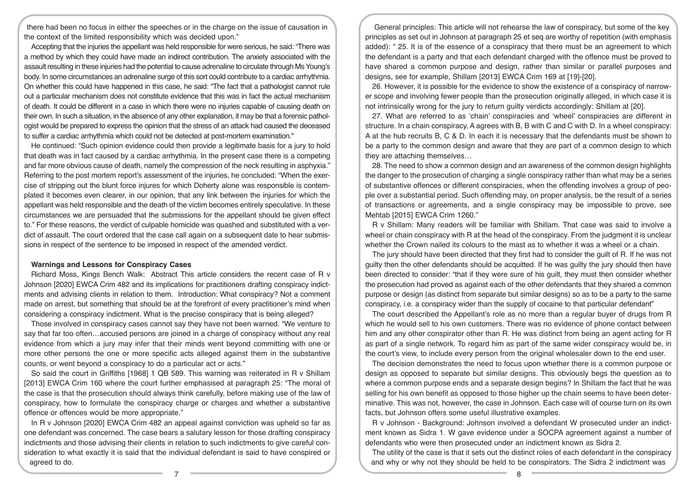there had been no focus in either the speeches or in the charge on the issue of causation in the context of the limited responsibility which was decided upon."

Accepting that the injuries the appellant was held responsible for were serious, he said: "There was a method by which they could have made an indirect contribution. The anxiety associated with the assault resulting in these injuries had the potential to cause adrenaline to circulate through Ms Young's body. In some circumstances an adrenaline surge of this sort could contribute to a cardiac arrhythmia. On whether this could have happened in this case, he said: "The fact that a pathologist cannot rule out a particular mechanism does not constitute evidence that this was in fact the actual mechanism of death. It could be different in a case in which there were no injuries capable of causing death on their own. In such a situation, in the absence of any other explanation, it may be that a forensic pathologist would be prepared to express the opinion that the stress of an attack had caused the deceased to suffer a cardiac arrhythmia which could not be detected at post-mortem examination."

He continued: "Such opinion evidence could then provide a legitimate basis for a jury to hold that death was in fact caused by a cardiac arrhythmia. In the present case there is a competing and far more obvious cause of death, namely the compression of the neck resulting in asphyxia." Referring to the post mortem report's assessment of the injuries, he concluded: "When the exercise of stripping out the blunt force injures for which Doherty alone was responsible is contemplated it becomes even clearer, in our opinion, that any link between the injuries for which the appellant was held responsible and the death of the victim becomes entirely speculative. In these circumstances we are persuaded that the submissions for the appellant should be given effect to." For these reasons, the verdict of culpable homicide was quashed and substituted with a verdict of assault. The court ordered that the case call again on a subsequent date to hear submissions in respect of the sentence to be imposed in respect of the amended verdict.

#### **Warnings and Lessons for Conspiracy Cases**

Richard Moss, Kings Bench Walk: Abstract This article considers the recent case of R v Johnson [2020] EWCA Crim 482 and its implications for practitioners drafting conspiracy indictments and advising clients in relation to them. Introduction: What conspiracy? Not a comment made on arrest, but something that should be at the forefront of every practitioner's mind when considering a conspiracy indictment. What is the precise conspiracy that is being alleged?

Those involved in conspiracy cases cannot say they have not been warned. "We venture to say that far too often…accused persons are joined in a charge of conspiracy without any real evidence from which a jury may infer that their minds went beyond committing with one or more other persons the one or more specific acts alleged against them in the substantive counts, or went beyond a conspiracy to do a particular act or acts."

So said the court in Griffiths [1968] 1 QB 589. This warning was reiterated in R v Shillam [2013] EWCA Crim 160 where the court further emphasised at paragraph 25: "The moral of the case is that the prosecution should always think carefully, before making use of the law of conspiracy, how to formulate the conspiracy charge or charges and whether a substantive offence or offences would be more appropriate."

In R v Johnson [2020] EWCA Crim 482 an appeal against conviction was upheld so far as one defendant was concerned. The case bears a salutary lesson for those drafting conspiracy indictments and those advising their clients in relation to such indictments to give careful consideration to what exactly it is said that the individual defendant is said to have conspired or agreed to do.

General principles: This article will not rehearse the law of conspiracy, but some of the key principles as set out in Johnson at paragraph 25 et seq are worthy of repetition (with emphasis added): " 25. It is of the essence of a conspiracy that there must be an agreement to which the defendant is a party and that each defendant charged with the offence must be proved to have shared a common purpose and design, rather than similar or parallel purposes and designs, see for example, Shillam [2013] EWCA Crim 169 at [19]-[20].

26. However, it is possible for the evidence to show the existence of a conspiracy of narrower scope and involving fewer people than the prosecution originally alleged, in which case it is not intrinsically wrong for the jury to return guilty verdicts accordingly: Shillam at [20].

27. What are referred to as 'chain' conspiracies and 'wheel' conspiracies are different in structure. In a chain conspiracy, A agrees with B, B with C and C with D. In a wheel conspiracy: A at the hub recruits B, C & D. In each it is necessary that the defendants must be shown to be a party to the common design and aware that they are part of a common design to which they are attaching themselves…

28. The need to show a common design and an awareness of the common design highlights the danger to the prosecution of charging a single conspiracy rather than what may be a series of substantive offences or different conspiracies, when the offending involves a group of people over a substantial period. Such offending may, on proper analysis, be the result of a series of transactions or agreements, and a single conspiracy may be impossible to prove, see Mehtab [2015] EWCA Crim 1260."

R v Shillam: Many readers will be familiar with Shillam. That case was said to involve a wheel or chain conspiracy with R at the head of the conspiracy. From the judgment it is unclear whether the Crown nailed its colours to the mast as to whether it was a wheel or a chain.

The jury should have been directed that they first had to consider the guilt of R. If he was not guilty then the other defendants should be acquitted. If he was guilty the jury should then have been directed to consider: "that if they were sure of his guilt, they must then consider whether the prosecution had proved as against each of the other defendants that they shared a common purpose or design (as distinct from separate but similar designs) so as to be a party to the same conspiracy, i.e. a conspiracy wider than the supply of cocaine to that particular defendant"

The court described the Appellant's role as no more than a regular buyer of drugs from R which he would sell to his own customers. There was no evidence of phone contact between him and any other conspirator other than R. He was distinct from being an agent acting for R as part of a single network. To regard him as part of the same wider conspiracy would be, in the court's view, to include every person from the original wholesaler down to the end user.

The decision demonstrates the need to focus upon whether there is a common purpose or design as opposed to separate but similar designs. This obviously begs the question as to where a common purpose ends and a separate design begins? In Shillam the fact that he was selling for his own benefit as opposed to those higher up the chain seems to have been determinative. This was not, however, the case in Johnson. Each case will of course turn on its own facts, but Johnson offers some useful illustrative examples.

R v Johnson - Background: Johnson involved a defendant W prosecuted under an indictment known as Sidra 1. W gave evidence under a SOCPA agreement against a number of defendants who were then prosecuted under an indictment known as Sidra 2.

The utility of the case is that it sets out the distinct roles of each defendant in the conspiracy and why or why not they should be held to be conspirators. The Sidra 2 indictment was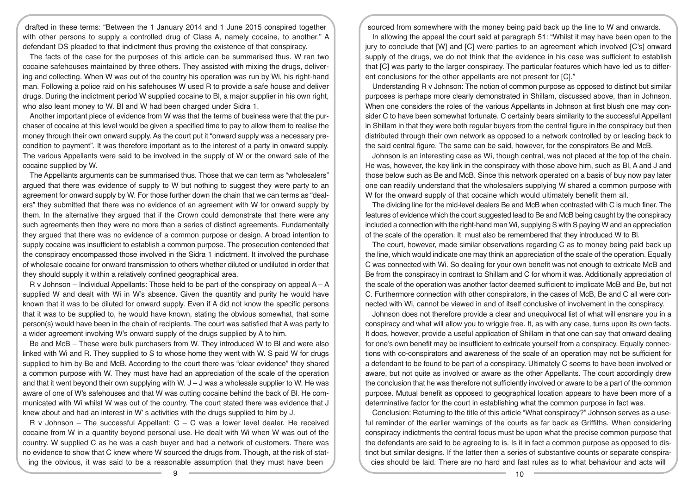drafted in these terms: "Between the 1 January 2014 and 1 June 2015 conspired together with other persons to supply a controlled drug of Class A, namely cocaine, to another." A defendant DS pleaded to that indictment thus proving the existence of that conspiracy.

The facts of the case for the purposes of this article can be summarised thus. W ran two cocaine safehouses maintained by three others. They assisted with mixing the drugs, delivering and collecting. When W was out of the country his operation was run by Wi, his right-hand man. Following a police raid on his safehouses W used R to provide a safe house and deliver drugs. During the indictment period W supplied cocaine to Bl, a major supplier in his own right, who also leant money to W. Bl and W had been charged under Sidra 1.

Another important piece of evidence from W was that the terms of business were that the purchaser of cocaine at this level would be given a specified time to pay to allow them to realise the money through their own onward supply. As the court put it "onward supply was a necessary precondition to payment". It was therefore important as to the interest of a party in onward supply. The various Appellants were said to be involved in the supply of W or the onward sale of the cocaine supplied by W.

The Appellants arguments can be summarised thus. Those that we can term as "wholesalers" argued that there was evidence of supply to W but nothing to suggest they were party to an agreement for onward supply by W. For those further down the chain that we can terms as "dealers" they submitted that there was no evidence of an agreement with W for onward supply by them. In the alternative they argued that if the Crown could demonstrate that there were any such agreements then they were no more than a series of distinct agreements. Fundamentally they argued that there was no evidence of a common purpose or design. A broad intention to supply cocaine was insufficient to establish a common purpose. The prosecution contended that the conspiracy encompassed those involved in the Sidra 1 indictment. It involved the purchase of wholesale cocaine for onward transmission to others whether diluted or undiluted in order that they should supply it within a relatively confined geographical area.

 $R$  v Johnson – Individual Appellants: Those held to be part of the conspiracy on appeal  $A - A$ supplied W and dealt with Wi in W's absence. Given the quantity and purity he would have known that it was to be diluted for onward supply. Even if A did not know the specific persons that it was to be supplied to, he would have known, stating the obvious somewhat, that some person(s) would have been in the chain of recipients. The court was satisfied that A was party to a wider agreement involving W's onward supply of the drugs supplied by A to him.

Be and McB – These were bulk purchasers from W. They introduced W to Bl and were also linked with Wi and R. They supplied to S to whose home they went with W. S paid W for drugs supplied to him by Be and McB. According to the court there was "clear evidence" they shared a common purpose with W. They must have had an appreciation of the scale of the operation and that it went beyond their own supplying with W.  $J - J$  was a wholesale supplier to W. He was aware of one of W's safehouses and that W was cutting cocaine behind the back of Bl. He communicated with Wi whilst W was out of the country. The court stated there was evidence that J knew about and had an interest in W' s activities with the drugs supplied to him by J.

R v Johnson – The successful Appellant:  $C - C$  was a lower level dealer. He received cocaine from W in a quantity beyond personal use. He dealt with Wi when W was out of the country. W supplied C as he was a cash buyer and had a network of customers. There was no evidence to show that C knew where W sourced the drugs from. Though, at the risk of stating the obvious, it was said to be a reasonable assumption that they must have been

sourced from somewhere with the money being paid back up the line to W and onwards.

In allowing the appeal the court said at paragraph 51: "Whilst it may have been open to the jury to conclude that [W] and [C] were parties to an agreement which involved [C's] onward supply of the drugs, we do not think that the evidence in his case was sufficient to establish that [C] was party to the larger conspiracy. The particular features which have led us to different conclusions for the other appellants are not present for [C]."

Understanding R v Johnson: The notion of common purpose as opposed to distinct but similar purposes is perhaps more clearly demonstrated in Shillam, discussed above, than in Johnson. When one considers the roles of the various Appellants in Johnson at first blush one may consider C to have been somewhat fortunate. C certainly bears similarity to the successful Appellant in Shillam in that they were both regular buyers from the central figure in the conspiracy but then distributed through their own network as opposed to a network controlled by or leading back to the said central figure. The same can be said, however, for the conspirators Be and McB.

Johnson is an interesting case as Wi, though central, was not placed at the top of the chain. He was, however, the key link in the conspiracy with those above him, such as Bl, A and J and those below such as Be and McB. Since this network operated on a basis of buy now pay later one can readily understand that the wholesalers supplying W shared a common purpose with W for the onward supply of that cocaine which would ultimately benefit them all.

The dividing line for the mid-level dealers Be and McB when contrasted with C is much finer. The features of evidence which the court suggested lead to Be and McB being caught by the conspiracy included a connection with the right-hand man Wi, supplying S with S paying W and an appreciation of the scale of the operation. It must also be remembered that they introduced W to Bl.

The court, however, made similar observations regarding C as to money being paid back up the line, which would indicate one may think an appreciation of the scale of the operation. Equally C was connected with Wi. So dealing for your own benefit was not enough to extricate McB and Be from the conspiracy in contrast to Shillam and C for whom it was. Additionally appreciation of the scale of the operation was another factor deemed sufficient to implicate McB and Be, but not C. Furthermore connection with other conspirators, in the cases of McB, Be and C all were connected with Wi, cannot be viewed in and of itself conclusive of involvement in the conspiracy.

Johnson does not therefore provide a clear and unequivocal list of what will ensnare you in a conspiracy and what will allow you to wriggle free. It, as with any case, turns upon its own facts. It does, however, provide a useful application of Shillam in that one can say that onward dealing for one's own benefit may be insufficient to extricate yourself from a conspiracy. Equally connections with co-conspirators and awareness of the scale of an operation may not be sufficient for a defendant to be found to be part of a conspiracy. Ultimately C seems to have been involved or aware, but not quite as involved or aware as the other Appellants. The court accordingly drew the conclusion that he was therefore not sufficiently involved or aware to be a part of the common purpose. Mutual benefit as opposed to geographical location appears to have been more of a determinative factor for the court in establishing what the common purpose in fact was.

Conclusion: Returning to the title of this article "What conspiracy?" Johnson serves as a useful reminder of the earlier warnings of the courts as far back as Griffiths. When considering conspiracy indictments the central focus must be upon what the precise common purpose that the defendants are said to be agreeing to is. Is it in fact a common purpose as opposed to distinct but similar designs. If the latter then a series of substantive counts or separate conspiracies should be laid. There are no hard and fast rules as to what behaviour and acts will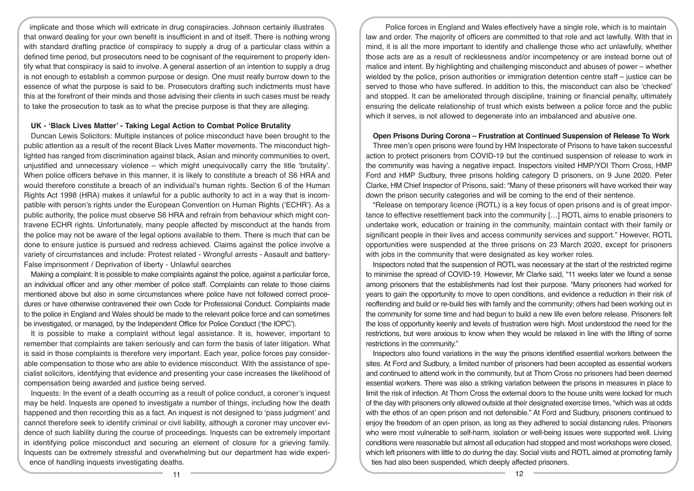implicate and those which will extricate in drug conspiracies. Johnson certainly illustrates that onward dealing for your own benefit is insufficient in and of itself. There is nothing wrong with standard drafting practice of conspiracy to supply a drug of a particular class within a defined time period, but prosecutors need to be cognisant of the requirement to properly identify what that conspiracy is said to involve. A general assertion of an intention to supply a drug is not enough to establish a common purpose or design. One must really burrow down to the essence of what the purpose is said to be. Prosecutors drafting such indictments must have this at the forefront of their minds and those advising their clients in such cases must be ready to take the prosecution to task as to what the precise purpose is that they are alleging.

#### **UK - 'Black Lives Matter' - Taking Legal Action to Combat Police Brutality**

Duncan Lewis Solicitors: Multiple instances of police misconduct have been brought to the public attention as a result of the recent Black Lives Matter movements. The misconduct highlighted has ranged from discrimination against black, Asian and minority communities to overt, unjustified and unnecessary violence – which might unequivocally carry the title 'brutality'. When police officers behave in this manner, it is likely to constitute a breach of S6 HRA and would therefore constitute a breach of an individual's human rights. Section 6 of the Human Rights Act 1998 (HRA) makes it unlawful for a public authority to act in a way that is incompatible with person's rights under the European Convention on Human Rights ('ECHR'). As a public authority, the police must observe S6 HRA and refrain from behaviour which might contravene ECHR rights. Unfortunately, many people affected by misconduct at the hands from the police may not be aware of the legal options available to them. There is much that can be done to ensure justice is pursued and redress achieved. Claims against the police involve a variety of circumstances and include: Protest related - Wrongful arrests - Assault and battery-False imprisonment / Deprivation of liberty - Unlawful searches

Making a complaint: It is possible to make complaints against the police, against a particular force, an individual officer and any other member of police staff. Complaints can relate to those claims mentioned above but also in some circumstances where police have not followed correct procedures or have otherwise contravened their own Code for Professional Conduct. Complaints made to the police in England and Wales should be made to the relevant police force and can sometimes be investigated, or managed, by the Independent Office for Police Conduct ('the IOPC').

It is possible to make a complaint without legal assistance. It is, however, important to remember that complaints are taken seriously and can form the basis of later litigation. What is said in those complaints is therefore very important. Each year, police forces pay considerable compensation to those who are able to evidence misconduct. With the assistance of specialist solicitors, identifying that evidence and presenting your case increases the likelihood of compensation being awarded and justice being served.

Inquests: In the event of a death occurring as a result of police conduct, a coroner's inquest may be held. Inquests are opened to investigate a number of things, including how the death happened and then recording this as a fact. An inquest is not designed to 'pass judgment' and cannot therefore seek to identify criminal or civil liability, although a coroner may uncover evidence of such liability during the course of proceedings. Inquests can be extremely important in identifying police misconduct and securing an element of closure for a grieving family. Inquests can be extremely stressful and overwhelming but our department has wide experience of handling inquests investigating deaths.

Police forces in England and Wales effectively have a single role, which is to maintain law and order. The majority of officers are committed to that role and act lawfully. With that in mind, it is all the more important to identify and challenge those who act unlawfully, whether those acts are as a result of recklessness and/or incompetency or are instead borne out of malice and intent. By highlighting and challenging misconduct and abuses of power – whether wielded by the police, prison authorities or immigration detention centre staff – justice can be served to those who have suffered. In addition to this, the misconduct can also be 'checked' and stopped. It can be ameliorated through discipline, training or financial penalty, ultimately ensuring the delicate relationship of trust which exists between a police force and the public which it serves, is not allowed to degenerate into an imbalanced and abusive one.

#### **Open Prisons During Corona – Frustration at Continued Suspension of Release To Work**

Three men's open prisons were found by HM Inspectorate of Prisons to have taken successful action to protect prisoners from COVID-19 but the continued suspension of release to work in the community was having a negative impact. Inspectors visited HMP/YOI Thorn Cross, HMP Ford and HMP Sudbury, three prisons holding category D prisoners, on 9 June 2020. Peter Clarke, HM Chief Inspector of Prisons, said: "Many of these prisoners will have worked their way down the prison security categories and will be coming to the end of their sentence.

"Release on temporary licence (ROTL) is a key focus of open prisons and is of great importance to effective resettlement back into the community […] ROTL aims to enable prisoners to undertake work, education or training in the community, maintain contact with their family or significant people in their lives and access community services and support." However, ROTL opportunities were suspended at the three prisons on 23 March 2020, except for prisoners with jobs in the community that were designated as key worker roles.

Inspectors noted that the suspension of ROTL was necessary at the start of the restricted regime to minimise the spread of COVID-19. However, Mr Clarke said, "11 weeks later we found a sense among prisoners that the establishments had lost their purpose. "Many prisoners had worked for years to gain the opportunity to move to open conditions, and evidence a reduction in their risk of reoffending and build or re-build ties with family and the community; others had been working out in the community for some time and had begun to build a new life even before release. Prisoners felt the loss of opportunity keenly and levels of frustration were high. Most understood the need for the restrictions, but were anxious to know when they would be relaxed in line with the lifting of some restrictions in the community."

Inspectors also found variations in the way the prisons identified essential workers between the sites. At Ford and Sudbury, a limited number of prisoners had been accepted as essential workers and continued to attend work in the community, but at Thorn Cross no prisoners had been deemed essential workers. There was also a striking variation between the prisons in measures in place to limit the risk of infection. At Thorn Cross the external doors to the house units were locked for much of the day with prisoners only allowed outside at their designated exercise times, "which was at odds with the ethos of an open prison and not defensible." At Ford and Sudbury, prisoners continued to enjoy the freedom of an open prison, as long as they adhered to social distancing rules. Prisoners who were most vulnerable to self-harm, isolation or well-being issues were supported well. Living conditions were reasonable but almost all education had stopped and most workshops were closed, which left prisoners with little to do during the day. Social visits and ROTL aimed at promoting family ties had also been suspended, which deeply affected prisoners.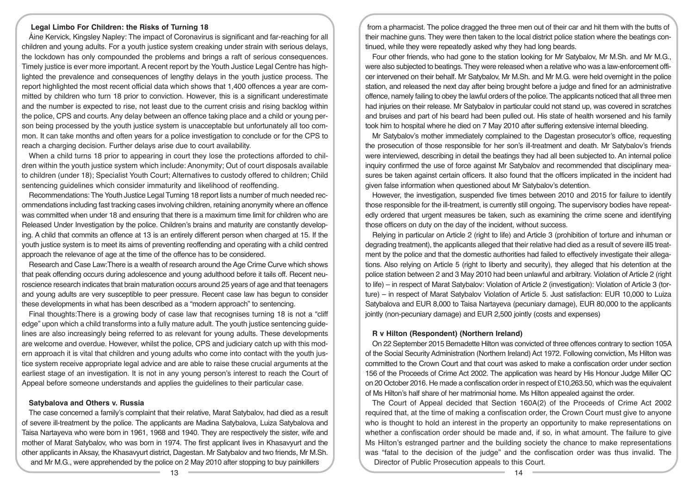## **Legal Limbo For Children: the Risks of Turning 18**

Áine Kervick, Kingsley Napley: The impact of Coronavirus is significant and far-reaching for all children and young adults. For a youth justice system creaking under strain with serious delays, the lockdown has only compounded the problems and brings a raft of serious consequences. Timely justice is ever more important. A recent report by the Youth Justice Legal Centre has highlighted the prevalence and consequences of lengthy delays in the youth justice process. The report highlighted the most recent official data which shows that 1,400 offences a year are committed by children who turn 18 prior to conviction. However, this is a significant underestimate and the number is expected to rise, not least due to the current crisis and rising backlog within the police, CPS and courts. Any delay between an offence taking place and a child or young person being processed by the youth justice system is unacceptable but unfortunately all too common. It can take months and often years for a police investigation to conclude or for the CPS to reach a charging decision. Further delays arise due to court availability.

When a child turns 18 prior to appearing in court they lose the protections afforded to children within the youth justice system which include: Anonymity; Out of court disposals available to children (under 18); Specialist Youth Court; Alternatives to custody offered to children; Child sentencing guidelines which consider immaturity and likelihood of reoffending.

Recommendations: The Youth Justice Legal Turning 18 report lists a number of much needed recommendations including fast tracking cases involving children, retaining anonymity where an offence was committed when under 18 and ensuring that there is a maximum time limit for children who are Released Under Investigation by the police. Children's brains and maturity are constantly developing. A child that commits an offence at 13 is an entirely different person when charged at 15. If the youth justice system is to meet its aims of preventing reoffending and operating with a child centred approach the relevance of age at the time of the offence has to be considered.

Research and Case Law:There is a wealth of research around the Age Crime Curve which shows that peak offending occurs during adolescence and young adulthood before it tails off. Recent neuroscience research indicates that brain maturation occurs around 25 years of age and that teenagers and young adults are very susceptible to peer pressure. Recent case law has begun to consider these developments in what has been described as a "modern approach" to sentencing.

Final thoughts:There is a growing body of case law that recognises turning 18 is not a "cliff edge" upon which a child transforms into a fully mature adult. The youth justice sentencing guidelines are also increasingly being referred to as relevant for young adults. These developments are welcome and overdue. However, whilst the police, CPS and judiciary catch up with this modern approach it is vital that children and young adults who come into contact with the youth justice system receive appropriate legal advice and are able to raise these crucial arguments at the earliest stage of an investigation. It is not in any young person's interest to reach the Court of Appeal before someone understands and applies the guidelines to their particular case.

#### **Satybalova and Others v. Russia**

The case concerned a family's complaint that their relative, Marat Satybalov, had died as a result of severe ill-treatment by the police. The applicants are Madina Satybalova, Luiza Satybalova and Taisa Nartayeva who were born in 1961, 1968 and 1940. They are respectively the sister, wife and mother of Marat Satybalov, who was born in 1974. The first applicant lives in Khasavyurt and the other applicants in Aksay, the Khasavyurt district, Dagestan. Mr Satybalov and two friends, Mr M.Sh. and Mr M.G., were apprehended by the police on 2 May 2010 after stopping to buy painkillers

from a pharmacist. The police dragged the three men out of their car and hit them with the butts of their machine guns. They were then taken to the local district police station where the beatings continued, while they were repeatedly asked why they had long beards.

Four other friends, who had gone to the station looking for Mr Satybalov, Mr M.Sh. and Mr M.G., were also subjected to beatings. They were released when a relative who was a law-enforcement officer intervened on their behalf. Mr Satybalov, Mr M.Sh. and Mr M.G. were held overnight in the police station, and released the next day after being brought before a judge and fined for an administrative offence, namely failing to obey the lawful orders of the police. The applicants noticed that all three men had injuries on their release. Mr Satybalov in particular could not stand up, was covered in scratches and bruises and part of his beard had been pulled out. His state of health worsened and his family took him to hospital where he died on 7 May 2010 after suffering extensive internal bleeding.

Mr Satybalov's mother immediately complained to the Dagestan prosecutor's office, requesting the prosecution of those responsible for her son's ill-treatment and death. Mr Satybalov's friends were interviewed, describing in detail the beatings they had all been subjected to. An internal police inquiry confirmed the use of force against Mr Satybalov and recommended that disciplinary measures be taken against certain officers. It also found that the officers implicated in the incident had given false information when questioned about Mr Satybalov's detention.

However, the investigation, suspended five times between 2010 and 2015 for failure to identify those responsible for the ill-treatment, is currently still ongoing. The supervisory bodies have repeatedly ordered that urgent measures be taken, such as examining the crime scene and identifying those officers on duty on the day of the incident, without success.

Relying in particular on Article 2 (right to life) and Article 3 (prohibition of torture and inhuman or degrading treatment), the applicants alleged that their relative had died as a result of severe ill5 treatment by the police and that the domestic authorities had failed to effectively investigate their allegations. Also relying on Article 5 (right to liberty and security), they alleged that his detention at the police station between 2 and 3 May 2010 had been unlawful and arbitrary. Violation of Article 2 (right to life) – in respect of Marat Satybalov: Violation of Article 2 (investigation): Violation of Article 3 (torture) – in respect of Marat Satybalov Violation of Article 5. Just satisfaction: EUR 10,000 to Luiza Satybalova and EUR 8,000 to Taisa Nartayeva (pecuniary damage), EUR 80,000 to the applicants jointly (non-pecuniary damage) and EUR 2,500 jointly (costs and expenses)

#### **R v Hilton (Respondent) (Northern Ireland)**

On 22 September 2015 Bernadette Hilton was convicted of three offences contrary to section 105A of the Social Security Administration (Northern Ireland) Act 1972. Following conviction, Ms Hilton was committed to the Crown Court and that court was asked to make a confiscation order under section 156 of the Proceeds of Crime Act 2002. The application was heard by His Honour Judge Miller QC on 20 October 2016. He made a confiscation order in respect of £10,263.50, which was the equivalent of Ms Hilton's half share of her matrimonial home. Ms Hilton appealed against the order.

The Court of Appeal decided that Section 160A(2) of the Proceeds of Crime Act 2002 required that, at the time of making a confiscation order, the Crown Court must give to anyone who is thought to hold an interest in the property an opportunity to make representations on whether a confiscation order should be made and, if so, in what amount. The failure to give Ms Hilton's estranged partner and the building society the chance to make representations was "fatal to the decision of the judge" and the confiscation order was thus invalid. The Director of Public Prosecution appeals to this Court.